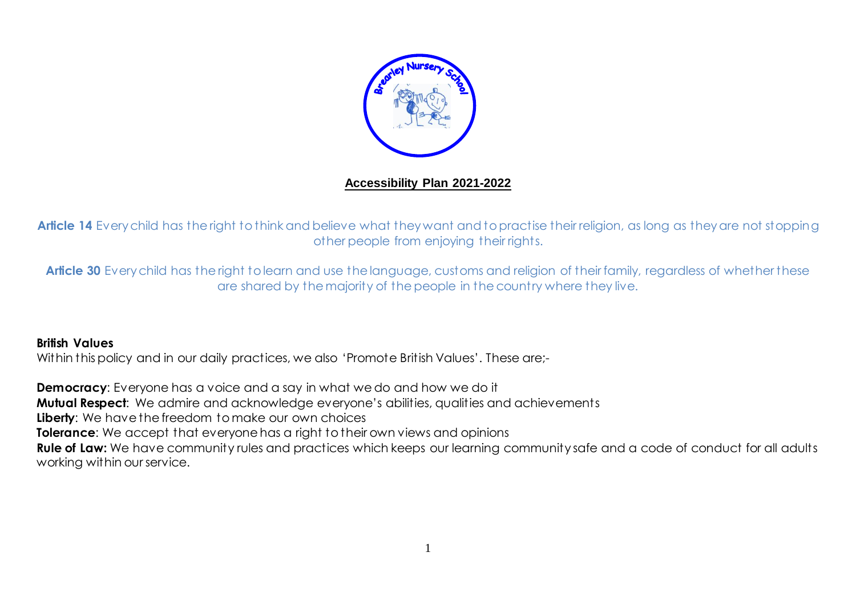

### **Accessibility Plan 2021-2022**

Article 14 Every child has the right to think and believe what they want and to practise their religion, as long as they are not stopping other people from enjoying their rights.

Article 30 Every child has the right to learn and use the language, customs and religion of their family, regardless of whether these are shared by the majority of the people in the country where they live.

#### **British Values**

Within this policy and in our daily practices, we also 'Promote British Values'. These are:-

**Democracy**: Everyone has a voice and a say in what we do and how we do it **Mutual Respect:** We admire and acknowledge everyone's abilities, qualities and achievements **Liberty**: We have the freedom to make our own choices **Tolerance**: We accept that everyone has a right to their own views and opinions **Rule of Law:** We have community rules and practices which keeps our learning community safe and a code of conduct for all adults working within our service.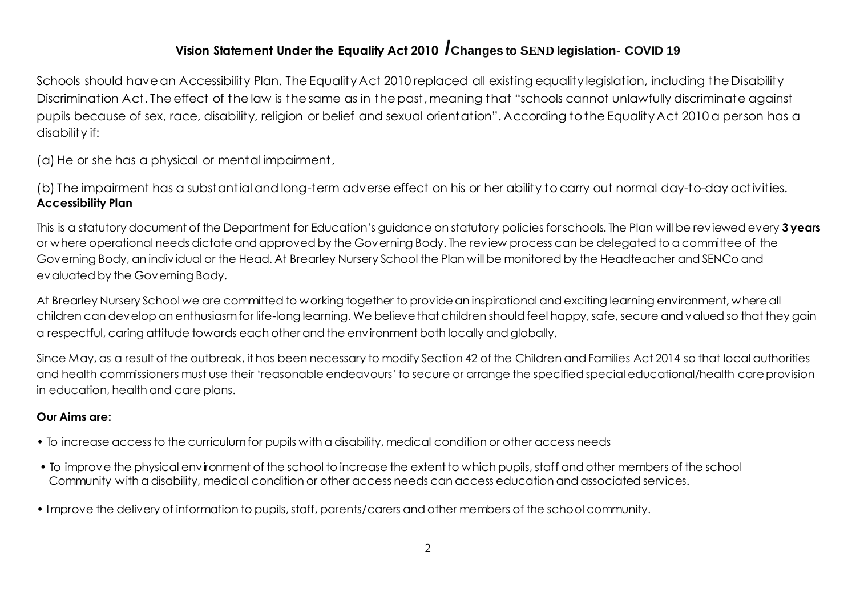# **Vision Statement Under the Equality Act 2010 /Changes to SEND legislation- COVID 19**

Schools should have an Accessibility Plan. The Equality Act 2010 replaced all existing equality legislation, including the Disability Discrimination Act. The effect of the law is the same as in the past, meaning that "schools cannot unlawfully discriminate against pupils because of sex, race, disability, religion or belief and sexual orientation". According to the Equality Act 2010 a person has a disability if:

(a) He or she has a physical or mental impairment,

(b) The impairment has a substantial and long-term adverse effect on his or her ability to carry out normal day-to-day activities. **Accessibility Plan**

This is a statutory document of the Department for Education's guidance on statutory policies for schools. The Plan will be reviewed every **3 years** or where operational needs dictate and approved by the Governing Body. The review process can be delegated to a committee of the Governing Body, an individual or the Head. At Brearley Nursery School the Plan will be monitored by the Headteacher and SENCo and evaluated by the Governing Body.

At Brearley Nursery School we are committed to working together to provide an inspirational and exciting learning environment, where all children can develop an enthusiasm for life-long learning. We believe that children should feel happy, safe, secure and valued so that they gain a respectful, caring attitude towards each other and the environment both locally and globally.

Since May, as a result of the outbreak, it has been necessary to modify Section 42 of the Children and Families Act 2014 so that local authorities and health commissioners must use their 'reasonable endeavours' to secure or arrange the specified special educational/health care provision in education, health and care plans.

#### **Our Aims are:**

- To increase access to the curriculum for pupils with a disability, medical condition or other access needs
- To improve the physical environment of the school to increase the extent to which pupils, staff and other members of the school Community with a disability, medical condition or other access needs can access education and associated services.
- Improve the delivery of information to pupils, staff, parents/carers and other members of the school community.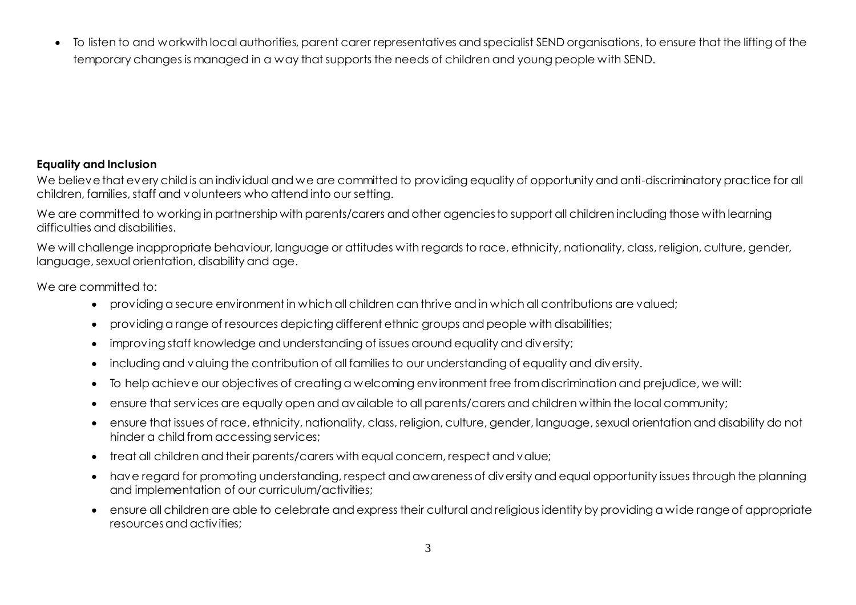To listen to and workwith local authorities, parent carer representatives and specialist SEND organisations, to ensure that the lifting of the temporary changes is managed in a way that supports the needs of children and young people with SEND.

#### **Equality and Inclusion**

We believe that every child is an individual and we are committed to providing equality of opportunity and anti-discriminatory practice for all children, families, staff and volunteers who attend into our setting.

We are committed to working in partnership with parents/carers and other agencies to support all children including those with learning difficulties and disabilities.

We will challenge inappropriate behaviour, language or attitudes with regards to race, ethnicity, nationality, class, religion, culture, gender, language, sexual orientation, disability and age.

We are committed to:

- providing a secure environment in which all children can thrive and in which all contributions are valued;
- providing a range of resources depicting different ethnic groups and people with disabilities;
- improving staff knowledge and understanding of issues around equality and diversity;
- including and valuing the contribution of all families to our understanding of equality and diversity.
- To help achieve our objectives of creating a welcoming environment free from discrimination and prejudice, we will:
- ensure that services are equally open and available to all parents/carers and children within the local community;
- ensure that issues of race, ethnicity, nationality, class, religion, culture, gender, language, sexual orientation and disability do not hinder a child from accessing services;
- treat all children and their parents/carers with equal concern, respect and value;
- have regard for promoting understanding, respect and awareness of diversity and equal opportunity issues through the planning and implementation of our curriculum/activities;
- ensure all children are able to celebrate and express their cultural and religious identity by providing a wide range of appropriate resources and activities;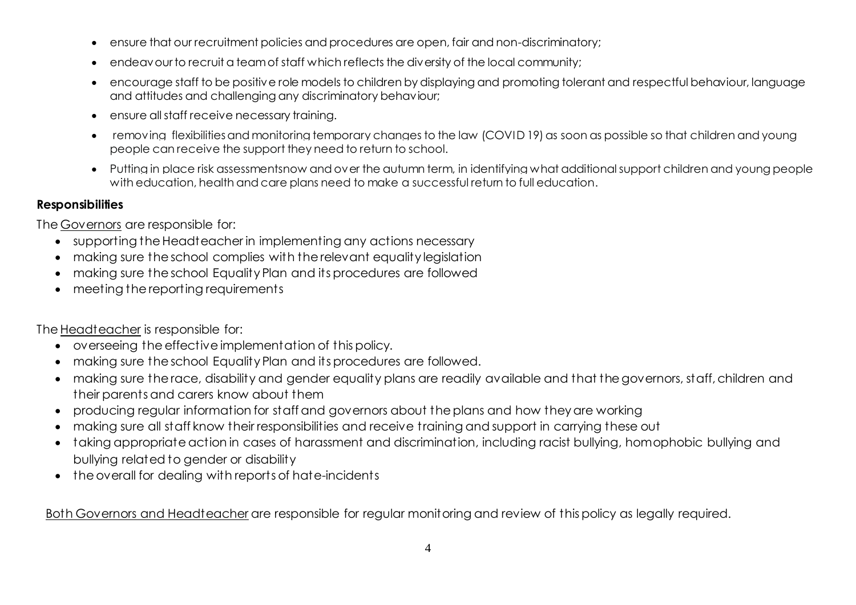- ensure that our recruitment policies and procedures are open, fair and non-discriminatory;
- endeavour to recruit a team of staff which reflects the diversity of the local community;
- encourage staff to be positive role models to children by displaying and promoting tolerant and respectful behaviour, language and attitudes and challenging any discriminatory behaviour;
- ensure all staff receive necessary training.
- removing flexibilitiesand monitoring temporary changes to the law (COVID 19) as soon as possible so that children and young people can receive the support they need to return to school.
- Putting in place risk assessmentsnow and over the autumn term, in identifying what additional support children and young people with education, health and care plans need to make a successful return to full education.

### **Responsibilities**

The Governors are responsible for:

- supporting the Headteacher in implementing any actions necessary
- making sure the school complies with the relevant equality legislation
- making sure the school Equality Plan and its procedures are followed
- meeting the reporting requirements

The Headteacher is responsible for:

- overseeing the effective implementation of this policy.
- making sure the school Equality Plan and its procedures are followed.
- making sure the race, disability and gender equality plans are readily available and that the governors, staff, children and their parents and carers know about them
- producing regular information for staff and governors about the plans and how they are working
- making sure all staff know their responsibilities and receive training and support in carrying these out
- taking appropriate action in cases of harassment and discrimination, including racist bullying, homophobic bullying and bullying related to gender or disability
- the overall for dealing with reports of hate-incidents

Both Governors and Headteacher are responsible for regular monitoring and review of this policy as legally required.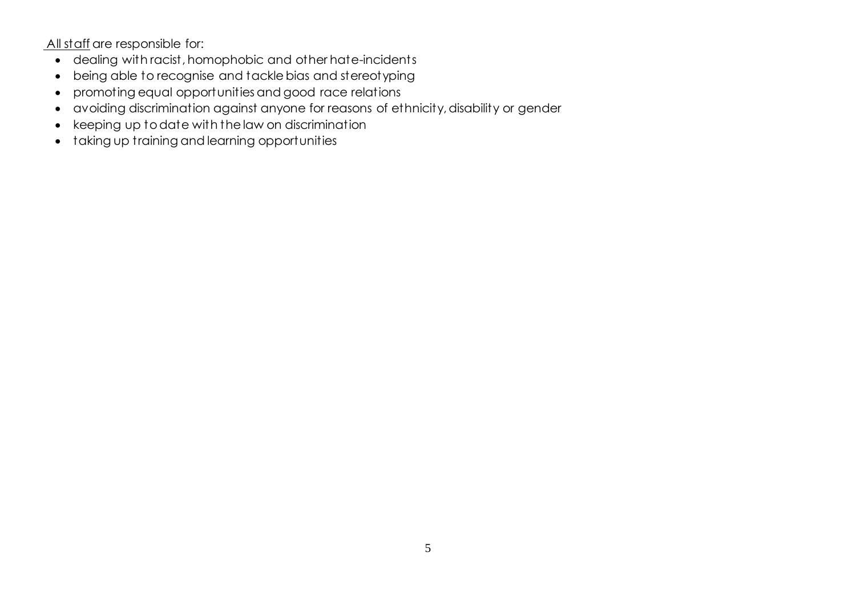All staff are responsible for:

- dealing with racist, homophobic and other hate-incidents
- being able to recognise and tackle bias and stereotyping
- promoting equal opportunities and good race relations
- avoiding discrimination against anyone for reasons of ethnicity, disability or gender
- keeping up to date with the law on discrimination
- taking up training and learning opportunities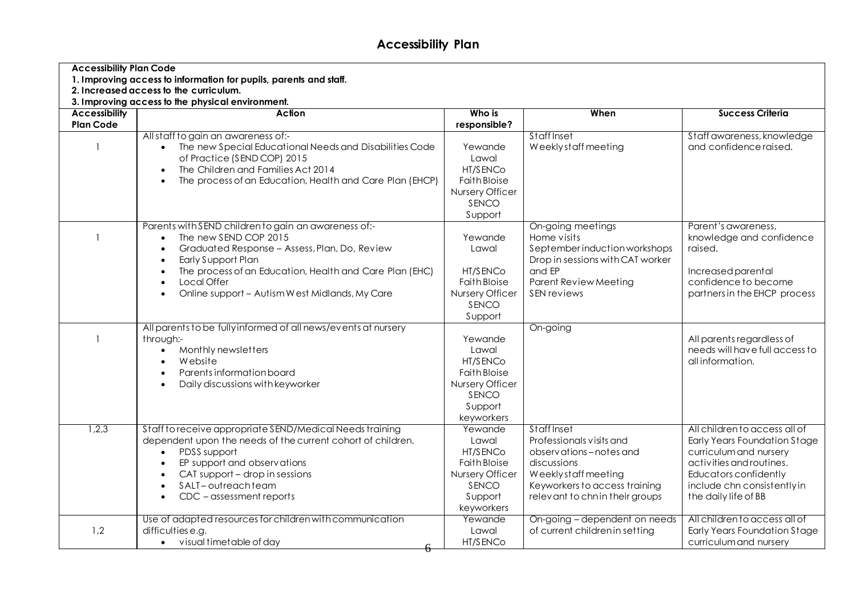## **Accessibility Plan**

| <b>Accessibility Plan Code</b><br>1. Improving access to information for pupils, parents and staff.<br>2. Increased access to the curriculum. |                                                                |                                 |                                                                 |                                                             |  |  |  |
|-----------------------------------------------------------------------------------------------------------------------------------------------|----------------------------------------------------------------|---------------------------------|-----------------------------------------------------------------|-------------------------------------------------------------|--|--|--|
|                                                                                                                                               |                                                                |                                 |                                                                 |                                                             |  |  |  |
| <b>Accessibility</b>                                                                                                                          | <b>Action</b>                                                  | Who is                          | When                                                            | <b>Success Criteria</b>                                     |  |  |  |
| <b>Plan Code</b>                                                                                                                              |                                                                | responsible?                    |                                                                 |                                                             |  |  |  |
|                                                                                                                                               | All staff to gain an awareness of:-                            |                                 | Staff Inset                                                     | Staff awareness, knowledge                                  |  |  |  |
|                                                                                                                                               | The new Special Educational Needs and Disabilities Code        | Yewande                         | Weeklystaff meeting                                             | and confidence raised.                                      |  |  |  |
|                                                                                                                                               | of Practice (SEND COP) 2015                                    | Lawal                           |                                                                 |                                                             |  |  |  |
|                                                                                                                                               | The Children and Families Act 2014                             | HT/SENCo<br><b>Faith Bloise</b> |                                                                 |                                                             |  |  |  |
|                                                                                                                                               | The process of an Education, Health and Care Plan (EHCP)       | Nursery Officer                 |                                                                 |                                                             |  |  |  |
|                                                                                                                                               |                                                                | SENCO                           |                                                                 |                                                             |  |  |  |
|                                                                                                                                               |                                                                | Support                         |                                                                 |                                                             |  |  |  |
|                                                                                                                                               | Parents with SEND children to gain an awareness of:-           |                                 | On-going meetings                                               | Parent's awareness,                                         |  |  |  |
|                                                                                                                                               | The new SEND COP 2015<br>$\bullet$                             | Yewande                         | Home visits                                                     | knowledge and confidence                                    |  |  |  |
|                                                                                                                                               | Graduated Response - Assess, Plan, Do, Review                  | Lawal                           | September induction workshops                                   | raised.                                                     |  |  |  |
|                                                                                                                                               | Early Support Plan                                             |                                 | Drop in sessions with CAT worker                                |                                                             |  |  |  |
|                                                                                                                                               | The process of an Education, Health and Care Plan (EHC)        | HT/SENCo                        | and EP                                                          | Increased parental                                          |  |  |  |
|                                                                                                                                               | Local Offer                                                    | <b>Faith Bloise</b>             | <b>Parent Review Meeting</b>                                    | confidence to become                                        |  |  |  |
|                                                                                                                                               | Online support - Autism West Midlands, My Care                 | Nursery Officer                 | SEN reviews                                                     | partners in the EHCP process                                |  |  |  |
|                                                                                                                                               |                                                                | SENCO                           |                                                                 |                                                             |  |  |  |
|                                                                                                                                               |                                                                | Support                         |                                                                 |                                                             |  |  |  |
|                                                                                                                                               | All parents to be fully informed of all news/events at nursery |                                 | On-going                                                        |                                                             |  |  |  |
|                                                                                                                                               | through:-<br>Monthly newsletters                               | Yewande<br>Lawal                |                                                                 | All parents regardless of<br>needs will have full access to |  |  |  |
|                                                                                                                                               | Website                                                        | HT/SENCo                        |                                                                 | all information.                                            |  |  |  |
|                                                                                                                                               | Parents information board                                      | <b>Faith Bloise</b>             |                                                                 |                                                             |  |  |  |
|                                                                                                                                               | Daily discussions with keyworker                               | Nursery Officer                 |                                                                 |                                                             |  |  |  |
|                                                                                                                                               |                                                                | SENCO                           |                                                                 |                                                             |  |  |  |
|                                                                                                                                               |                                                                | Support                         |                                                                 |                                                             |  |  |  |
|                                                                                                                                               |                                                                | keyworkers                      |                                                                 |                                                             |  |  |  |
| 1,2,3                                                                                                                                         | Staff to receive appropriate SEND/Medical Needs training       | Yewande                         | Staff Inset                                                     | All children to access all of                               |  |  |  |
|                                                                                                                                               | dependent upon the needs of the current cohort of children.    | Lawal                           | Professionals visits and                                        | <b>Early Years Foundation Stage</b>                         |  |  |  |
|                                                                                                                                               | PDSS support                                                   | HT/SENCo                        | observations-notes and                                          | curriculum and nursery                                      |  |  |  |
|                                                                                                                                               | EP support and observations                                    | <b>Faith Bloise</b>             | discussions                                                     | activities and routines.                                    |  |  |  |
|                                                                                                                                               | CAT support - drop in sessions                                 | Nursery Officer                 | Weeklystaff meeting                                             | <b>Educators confidently</b>                                |  |  |  |
|                                                                                                                                               | SALT-outreachteam<br>CDC - assessment reports                  | SENCO<br>Support                | Keyworkers to access training<br>relevant to chnin their groups | include chn consistently in<br>the daily life of BB         |  |  |  |
|                                                                                                                                               |                                                                | keyworkers                      |                                                                 |                                                             |  |  |  |
|                                                                                                                                               | Use of adapted resources for children with communication       | Yewande                         | On-going – dependent on needs                                   | All children to access all of                               |  |  |  |
| 1,2                                                                                                                                           | difficulties e.g.                                              | Lawal                           | of current children in setting                                  | <b>Early Years Foundation Stage</b>                         |  |  |  |
|                                                                                                                                               | • visual timetable of day                                      | HT/SENCo                        |                                                                 | curriculum and nursery                                      |  |  |  |
|                                                                                                                                               |                                                                |                                 |                                                                 |                                                             |  |  |  |